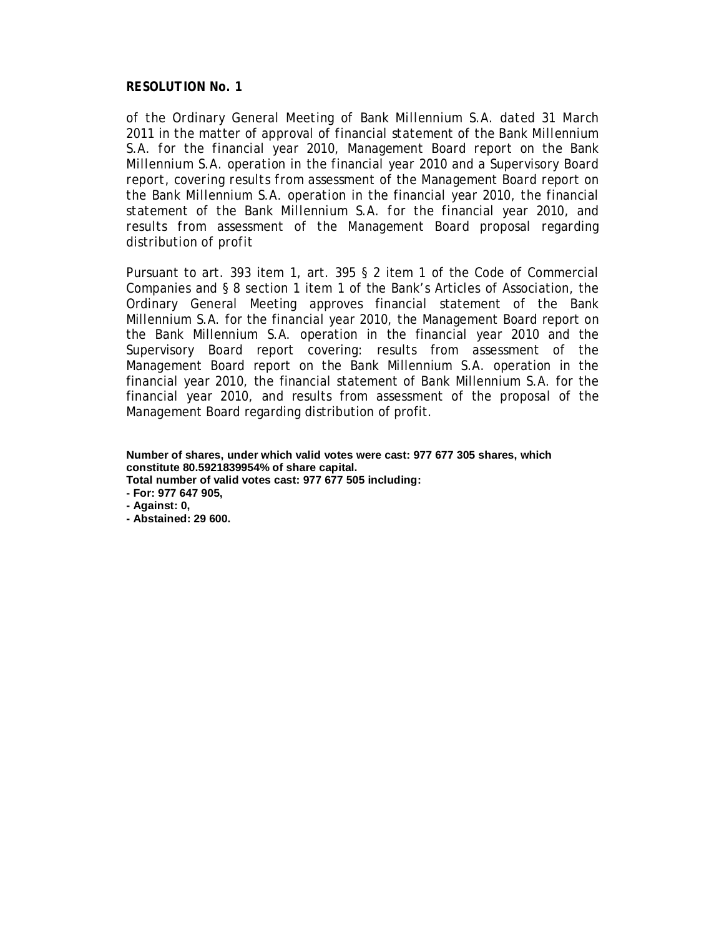*of the Ordinary General Meeting of Bank Millennium S.A. dated 31 March 2011 in the matter of approval of financial statement of the Bank Millennium S.A. for the financial year 2010, Management Board report on the Bank Millennium S.A. operation in the financial year 2010 and a Supervisory Board report, covering results from assessment of the Management Board report on the Bank Millennium S.A. operation in the financial year 2010, the financial statement of the Bank Millennium S.A. for the financial year 2010, and results from assessment of the Management Board proposal regarding distribution of profit* 

Pursuant to art. 393 item 1, art. 395 § 2 item 1 of the Code of Commercial Companies and § 8 section 1 item 1 of the Bank's Articles of Association, the Ordinary General Meeting approves financial statement of the Bank Millennium S.A. for the financial year 2010, the Management Board report on the Bank Millennium S.A. operation in the financial year 2010 and the Supervisory Board report covering: results from assessment of the Management Board report on the Bank Millennium S.A. operation in the financial year 2010, the financial statement of Bank Millennium S.A. for the financial year 2010, and results from assessment of the proposal of the Management Board regarding distribution of profit.

**Number of shares, under which valid votes were cast: 977 677 305 shares, which constitute 80.5921839954% of share capital.** 

**Total number of valid votes cast: 977 677 505 including:** 

**- For: 977 647 905,** 

**- Against: 0,**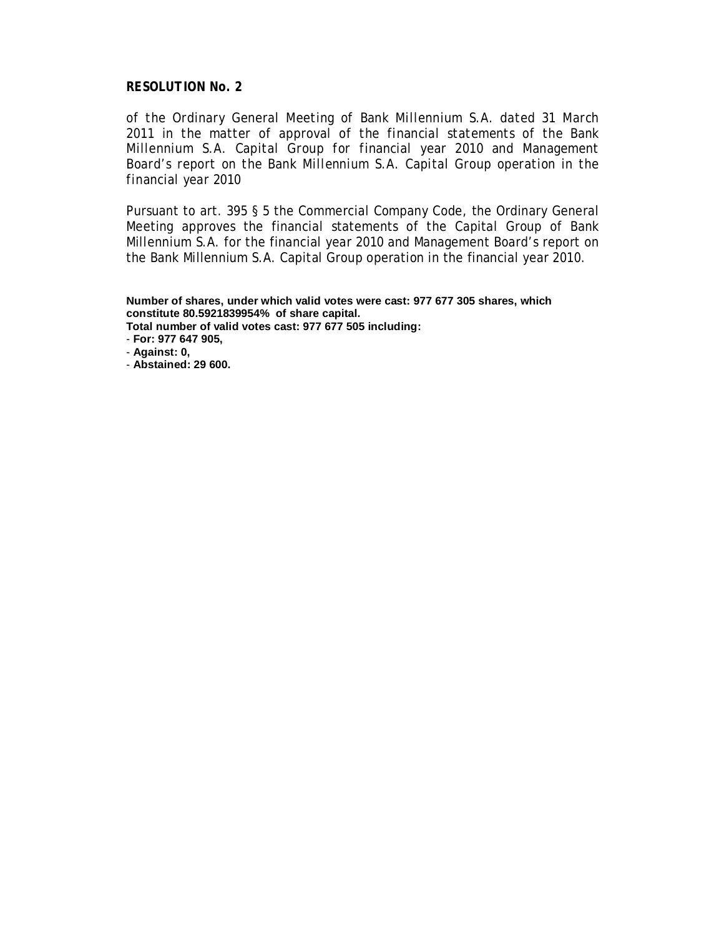*of the Ordinary General Meeting of Bank Millennium S.A. dated 31 March 2011 in the matter of approval of the financial statements of the Bank Millennium S.A. Capital Group for financial year 2010 and Management Board's report on the Bank Millennium S.A. Capital Group operation in the financial year 2010* 

Pursuant to art. 395 § 5 the Commercial Company Code, the Ordinary General Meeting approves the financial statements of the Capital Group of Bank Millennium S.A. for the financial year 2010 and Management Board's report on the Bank Millennium S.A. Capital Group operation in the financial year 2010.

**Number of shares, under which valid votes were cast: 977 677 305 shares, which constitute 80.5921839954% of share capital. Total number of valid votes cast: 977 677 505 including:** 

- **For: 977 647 905,** 

- **Against: 0,**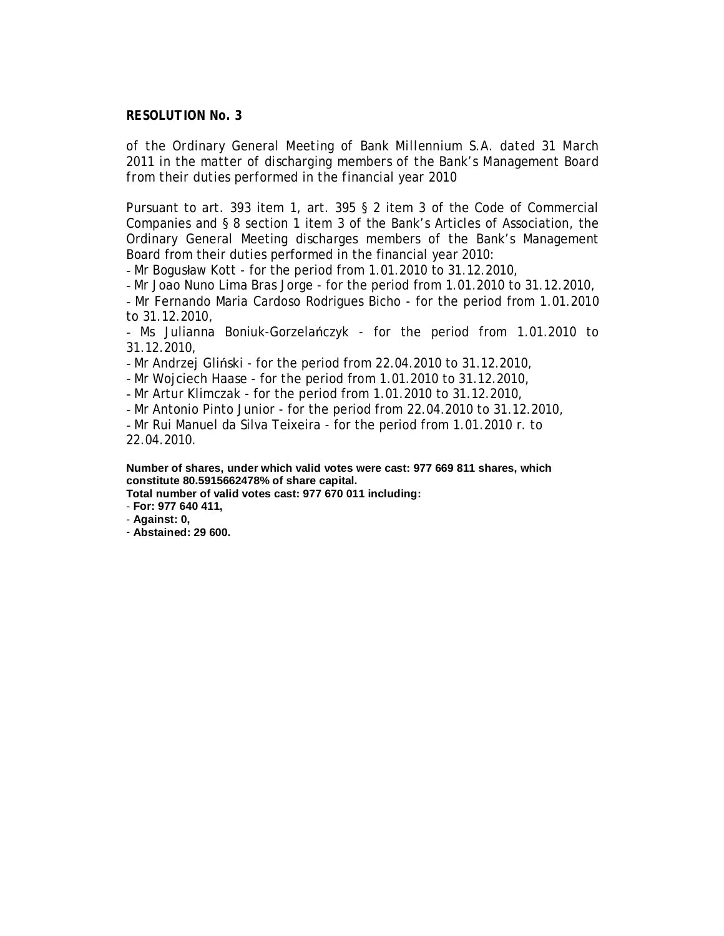*of the Ordinary General Meeting of Bank Millennium S.A. dated 31 March 2011 in the matter of discharging members of the Bank's Management Board from their duties performed in the financial year 2010* 

Pursuant to art. 393 item 1, art. 395 § 2 item 3 of the Code of Commercial Companies and § 8 section 1 item 3 of the Bank's Articles of Association, the Ordinary General Meeting discharges members of the Bank's Management Board from their duties performed in the financial year 2010:

- Mr Bogusław Kott - for the period from 1.01.2010 to 31.12.2010,

- Mr Joao Nuno Lima Bras Jorge - for the period from 1.01.2010 to 31.12.2010, - Mr Fernando Maria Cardoso Rodrigues Bicho - for the period from 1.01.2010 to 31.12.2010,

- Ms Julianna Boniuk-Gorzelańczyk - for the period from 1.01.2010 to 31.12.2010,

- Mr Andrzej Gliński - for the period from 22.04.2010 to 31.12.2010,

- Mr Wojciech Haase - for the period from 1.01.2010 to 31.12.2010,

- Mr Artur Klimczak - for the period from 1.01.2010 to 31.12.2010,

- Mr Antonio Pinto Junior - for the period from 22.04.2010 to 31.12.2010,

- Mr Rui Manuel da Silva Teixeira - for the period from 1.01.2010 r. to 22.04.2010.

**Number of shares, under which valid votes were cast: 977 669 811 shares, which constitute 80.5915662478% of share capital.** 

**Total number of valid votes cast: 977 670 011 including:** 

- **For: 977 640 411,** 

- **Against: 0,**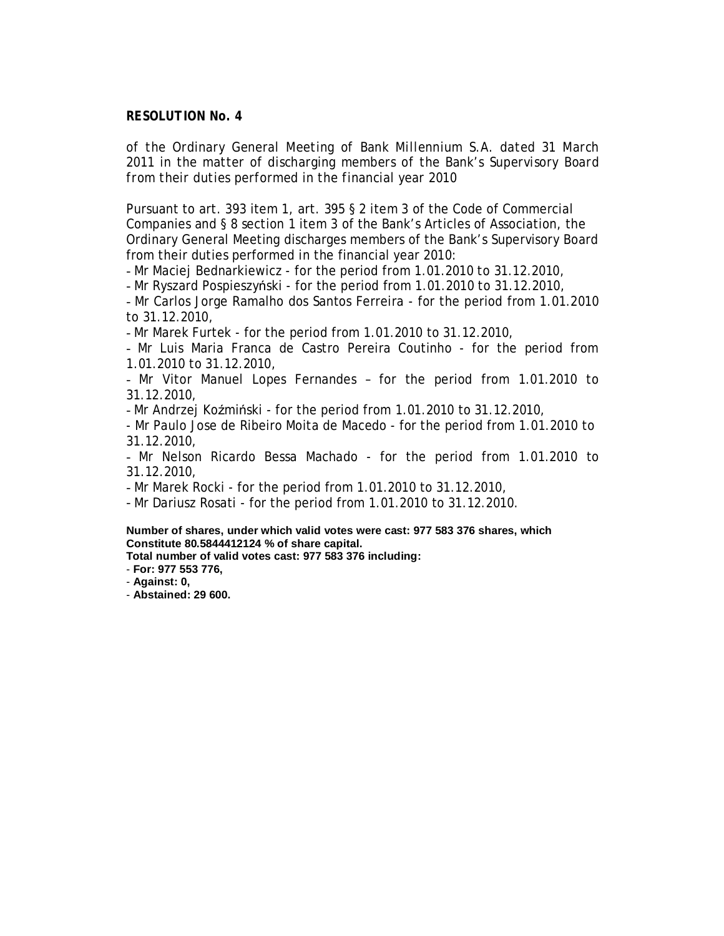*of the Ordinary General Meeting of Bank Millennium S.A. dated 31 March 2011 in the matter of discharging members of the Bank's Supervisory Board from their duties performed in the financial year 2010* 

Pursuant to art. 393 item 1, art. 395 § 2 item 3 of the Code of Commercial Companies and § 8 section 1 item 3 of the Bank's Articles of Association, the Ordinary General Meeting discharges members of the Bank's Supervisory Board from their duties performed in the financial year 2010:

- Mr Maciej Bednarkiewicz - for the period from 1.01.2010 to 31.12.2010,

- Mr Ryszard Pospieszyński - for the period from 1.01.2010 to 31.12.2010,

- Mr Carlos Jorge Ramalho dos Santos Ferreira - for the period from 1.01.2010 to 31.12.2010,

- Mr Marek Furtek - for the period from 1.01.2010 to 31.12.2010,

- Mr Luis Maria Franca de Castro Pereira Coutinho - for the period from 1.01.2010 to 31.12.2010,

- Mr Vitor Manuel Lopes Fernandes – for the period from 1.01.2010 to 31.12.2010,

- Mr Andrzej Koźmiński - for the period from 1.01.2010 to 31.12.2010,

- Mr Paulo Jose de Ribeiro Moita de Macedo - for the period from 1.01.2010 to 31.12.2010,

- Mr Nelson Ricardo Bessa Machado - for the period from 1.01.2010 to 31.12.2010,

- Mr Marek Rocki - for the period from 1.01.2010 to 31.12.2010,

- Mr Dariusz Rosati - for the period from 1.01.2010 to 31.12.2010.

**Number of shares, under which valid votes were cast: 977 583 376 shares, which Constitute 80.5844412124 % of share capital.** 

**Total number of valid votes cast: 977 583 376 including:** 

- **For: 977 553 776,** 

- **Against: 0,**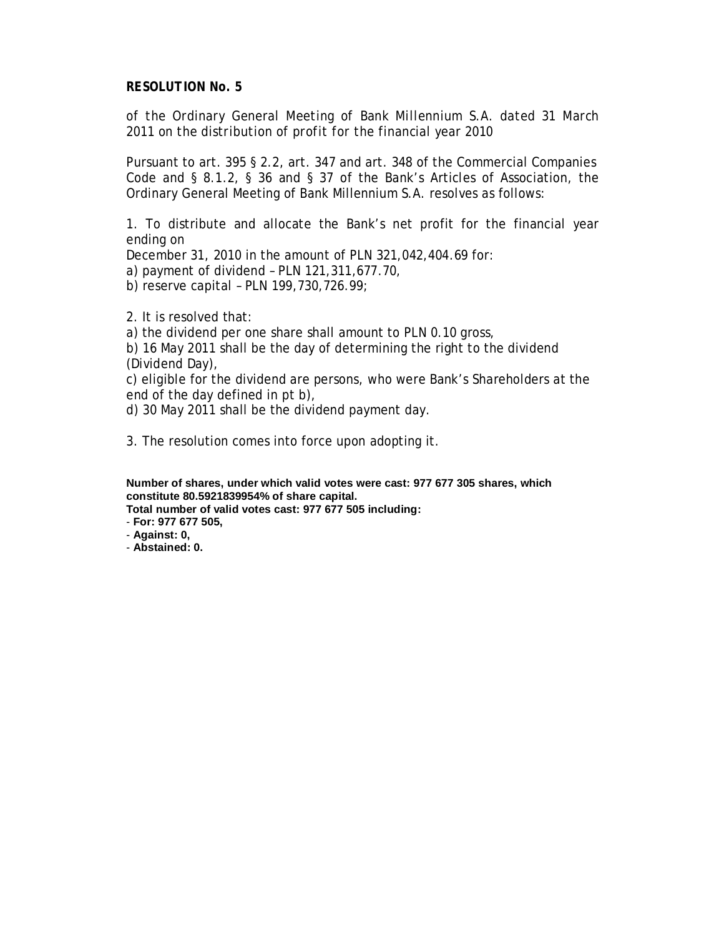*of the Ordinary General Meeting of Bank Millennium S.A. dated 31 March 2011 on the distribution of profit for the financial year 2010* 

Pursuant to art. 395 § 2.2, art. 347 and art. 348 of the Commercial Companies Code and § 8.1.2, § 36 and § 37 of the Bank's Articles of Association, the Ordinary General Meeting of Bank Millennium S.A. resolves as follows:

1. To distribute and allocate the Bank's net profit for the financial year ending on

December 31, 2010 in the amount of PLN 321,042,404.69 for:

a) payment of dividend – PLN 121,311,677.70,

b) reserve capital – PLN 199,730,726.99;

2. It is resolved that:

a) the dividend per one share shall amount to PLN 0.10 gross,

b) 16 May 2011 shall be the day of determining the right to the dividend (Dividend Day),

c) eligible for the dividend are persons, who were Bank's Shareholders at the end of the day defined in pt b),

d) 30 May 2011 shall be the dividend payment day.

3. The resolution comes into force upon adopting it.

**Number of shares, under which valid votes were cast: 977 677 305 shares, which constitute 80.5921839954% of share capital.** 

**Total number of valid votes cast: 977 677 505 including:** 

- **For: 977 677 505,**
- **Against: 0,**
- **Abstained: 0.**